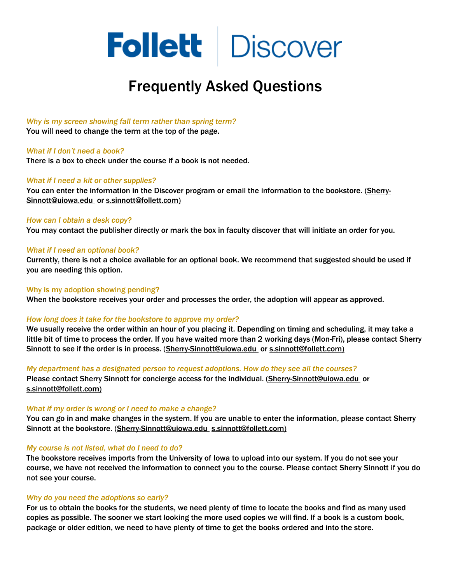

# Frequently Asked Questions

#### *Why is my screen showing fall term rather than spring term?*

You will need to change the term at the top of the page.

## *What if I don't need a book?*

There is a box to check under the course if a book is not needed.

## *What if I need a kit or other supplies?*

You can enter the information in the Discover program or email the information to the bookstore. [\(Sherry-](mailto:Sherry-Sinnott@uiowa.edu)[Sinnott@uiowa.edu](mailto:Sherry-Sinnott@uiowa.edu) o[r s.sinnott@follett.com\)](mailto:s.sinnott@follett.com)

#### *How can I obtain a desk copy?*

You may contact the publisher directly or mark the box in faculty discover that will initiate an order for you.

#### *What if I need an optional book?*

Currently, there is not a choice available for an optional book. We recommend that suggested should be used if you are needing this option.

Why is my adoption showing pending?

When the bookstore receives your order and processes the order, the adoption will appear as approved.

#### *How long does it take for the bookstore to approve my order?*

We usually receive the order within an hour of you placing it. Depending on timing and scheduling, it may take a little bit of time to process the order. If you have waited more than 2 working days (Mon-Fri), please contact Sherry Sinnott to see if the order is in process. [\(Sherry-Sinnott](mailto:Sherry-Sinnott)[@uiowa.edu](mailto:Sherry-Sinnott@uiowa.edu) o[r s.sinnott@follett.com\)](mailto:s.sinnott@follett.com)

*My department has a designated person to request adoptions. How do they see all the courses?*  Please contact Sherry Sinnott for concierge access for the individual. [\(Sherry-Sinnott@uiowa.edu](mailto:Sherry-Sinnott@uiowa.edu) or [s.sinnott@follett.com\)](mailto:s.sinnott@follett.com)

#### *What if my order is wrong or I need to make a change?*

You can go in and make changes in the system. If you are unable to enter the information, please contact Sherry Sinnott at the bookstore. [\(Sherry-Sinnott@uiowa.edu](mailto:Sherry-Sinnott@uiowa.edu) [s.sinnott@follett.com\)](mailto:s.sinnott@follett.com)

#### *My course is not listed, what do I need to do?*

The bookstore receives imports from the University of Iowa to upload into our system. If you do not see your course, we have not received the information to connect you to the course. Please contact Sherry Sinnott if you do not see your course.

# *Why do you need the adoptions so early?*

For us to obtain the books for the students, we need plenty of time to locate the books and find as many used copies as possible. The sooner we start looking the more used copies we will find. If a book is a custom book, package or older edition, we need to have plenty of time to get the books ordered and into the store.